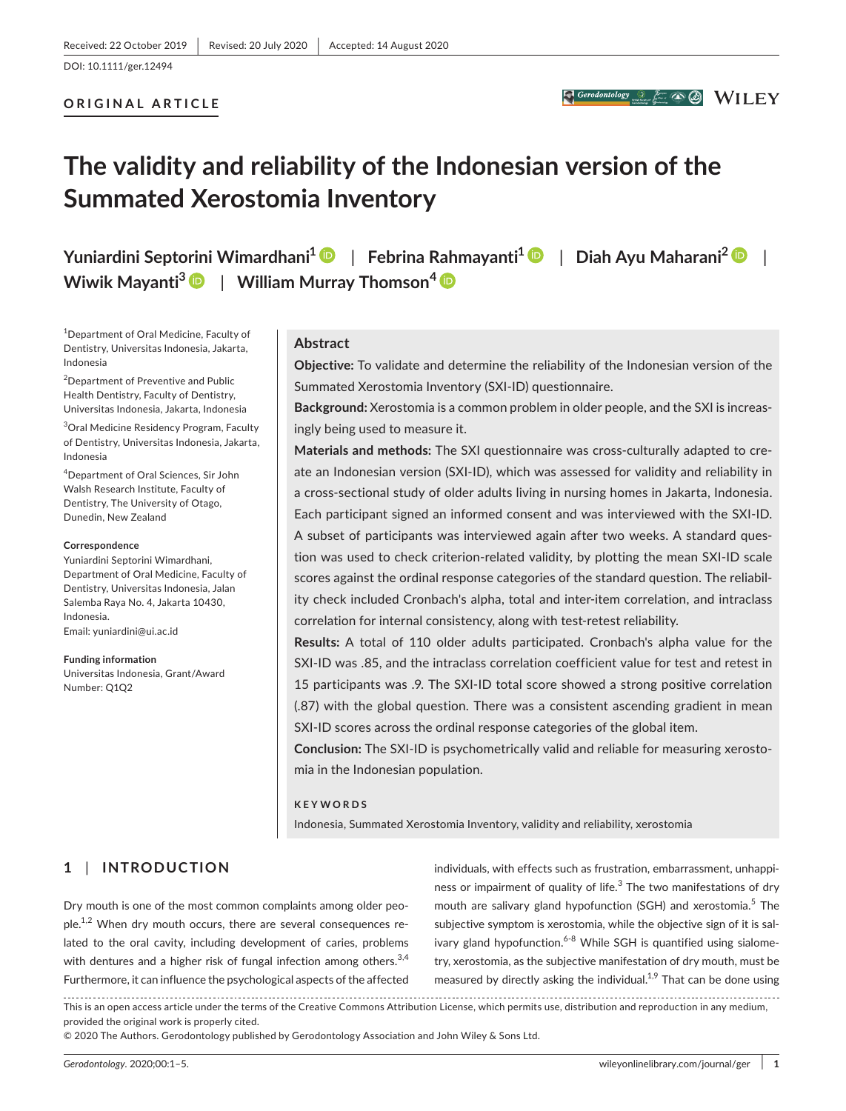## **ORIGINAL ARTICLE**

# **The validity and reliability of the Indonesian version of the Summated Xerostomia Inventory**

**Yuniardini Septorini Wimardhani1** | **Febrina Rahmayanti[1](https://orcid.org/0000-0002-9918-1571)** | **Diah Ayu Maharani<sup>2</sup>** | **Wiwik Mayanti<sup>3</sup>** | **William Murray Thomson[4](https://orcid.org/0000-0003-0588-6843)**

1 Department of Oral Medicine, Faculty of Dentistry, Universitas Indonesia, Jakarta, Indonesia

<sup>2</sup>Department of Preventive and Public Health Dentistry, Faculty of Dentistry, Universitas Indonesia, Jakarta, Indonesia

3 Oral Medicine Residency Program, Faculty of Dentistry, Universitas Indonesia, Jakarta, Indonesia

4 Department of Oral Sciences, Sir John Walsh Research Institute, Faculty of Dentistry, The University of Otago, Dunedin, New Zealand

#### **Correspondence**

Yuniardini Septorini Wimardhani, Department of Oral Medicine, Faculty of Dentistry, Universitas Indonesia, Jalan Salemba Raya No. 4, Jakarta 10430, Indonesia. Email: [yuniardini@ui.ac.id](mailto:yuniardini@ui.ac.id)

**Funding information** Universitas Indonesia, Grant/Award Number: Q1Q2

## **Abstract**

**Objective:** To validate and determine the reliability of the Indonesian version of the Summated Xerostomia Inventory (SXI-ID) questionnaire.

**Background:** Xerostomia is a common problem in older people, and the SXI is increasingly being used to measure it.

**Materials and methods:** The SXI questionnaire was cross-culturally adapted to create an Indonesian version (SXI-ID), which was assessed for validity and reliability in a cross-sectional study of older adults living in nursing homes in Jakarta, Indonesia. Each participant signed an informed consent and was interviewed with the SXI-ID. A subset of participants was interviewed again after two weeks. A standard question was used to check criterion-related validity, by plotting the mean SXI-ID scale scores against the ordinal response categories of the standard question. The reliability check included Cronbach's alpha, total and inter-item correlation, and intraclass correlation for internal consistency, along with test-retest reliability.

**Results:** A total of 110 older adults participated. Cronbach's alpha value for the SXI-ID was .85, and the intraclass correlation coefficient value for test and retest in 15 participants was .9. The SXI-ID total score showed a strong positive correlation (.87) with the global question. There was a consistent ascending gradient in mean SXI-ID scores across the ordinal response categories of the global item.

**Conclusion:** The SXI-ID is psychometrically valid and reliable for measuring xerostomia in the Indonesian population.

## **KEYWORDS**

Indonesia, Summated Xerostomia Inventory, validity and reliability, xerostomia

# **1** | **INTRODUCTION**

Dry mouth is one of the most common complaints among older peo $ple.<sup>1,2</sup>$  When dry mouth occurs, there are several consequences related to the oral cavity, including development of caries, problems with dentures and a higher risk of fungal infection among others.<sup>3,4</sup> Furthermore, it can influence the psychological aspects of the affected individuals, with effects such as frustration, embarrassment, unhappiness or impairment of quality of life.<sup>3</sup> The two manifestations of dry mouth are salivary gland hypofunction (SGH) and xerostomia.<sup>5</sup> The subjective symptom is xerostomia, while the objective sign of it is salivary gland hypofunction. $6-8$  While SGH is quantified using sialometry, xerostomia, as the subjective manifestation of dry mouth, must be measured by directly asking the individual.<sup>1,9</sup> That can be done using

This is an open access article under the terms of the Creative Commons Attribution License, which permits use, distribution and reproduction in any medium, provided the original work is properly cited.

© 2020 The Authors. Gerodontology published by Gerodontology Association and John Wiley & Sons Ltd.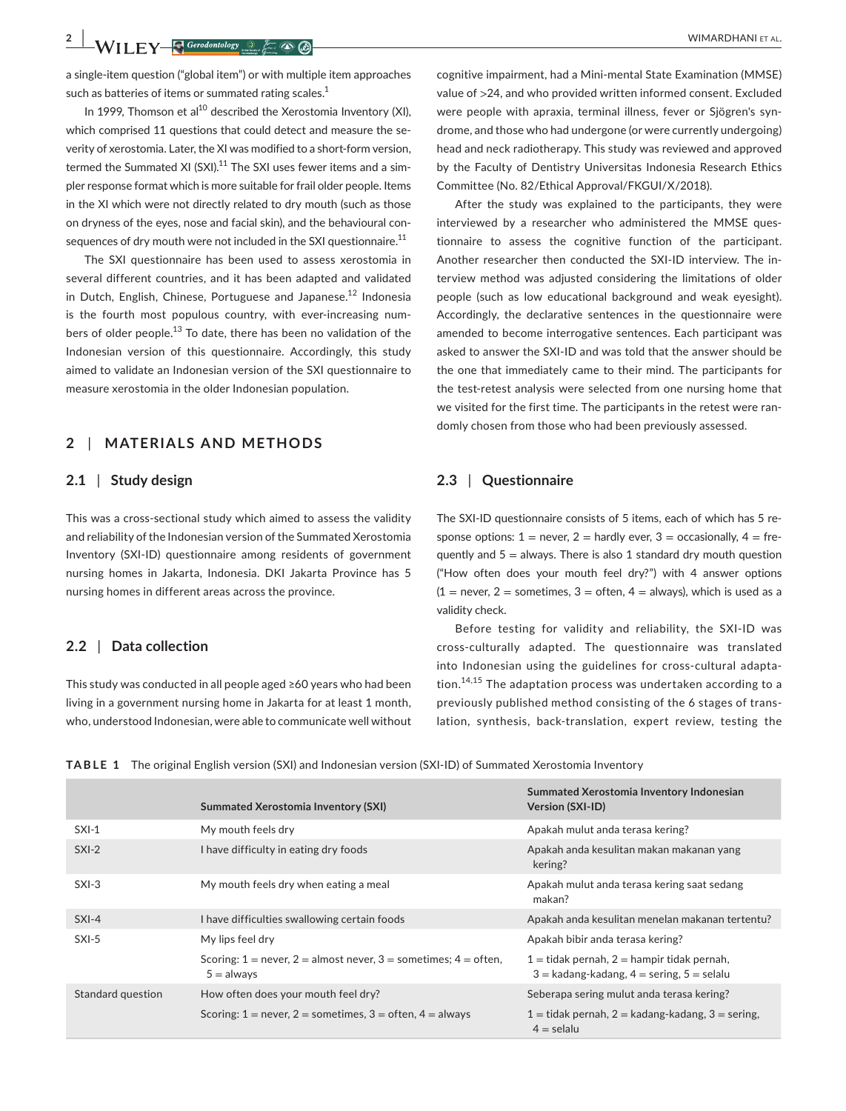**2 A I EV EV C** *Corodontology © F <b>C C* 

a single-item question ("global item") or with multiple item approaches such as batteries of items or summated rating scales.<sup>1</sup>

In 1999. Thomson et al<sup>10</sup> described the Xerostomia Inventory (XI), which comprised 11 questions that could detect and measure the severity of xerostomia. Later, the XI was modified to a short-form version, termed the Summated XI (SXI).<sup>11</sup> The SXI uses fewer items and a simpler response format which is more suitable for frail older people. Items in the XI which were not directly related to dry mouth (such as those on dryness of the eyes, nose and facial skin), and the behavioural consequences of dry mouth were not included in the SXI questionnaire. $^{11}$ 

The SXI questionnaire has been used to assess xerostomia in several different countries, and it has been adapted and validated in Dutch, English, Chinese, Portuguese and Japanese.<sup>12</sup> Indonesia is the fourth most populous country, with ever-increasing numbers of older people.<sup>13</sup> To date, there has been no validation of the Indonesian version of this questionnaire. Accordingly, this study aimed to validate an Indonesian version of the SXI questionnaire to measure xerostomia in the older Indonesian population.

# **2** | **MATERIALS AND METHODS**

#### **2.1** | **Study design**

This was a cross-sectional study which aimed to assess the validity and reliability of the Indonesian version of the Summated Xerostomia Inventory (SXI-ID) questionnaire among residents of government nursing homes in Jakarta, Indonesia. DKI Jakarta Province has 5 nursing homes in different areas across the province.

## **2.2** | **Data collection**

This study was conducted in all people aged ≥60 years who had been living in a government nursing home in Jakarta for at least 1 month, who, understood Indonesian, were able to communicate well without

cognitive impairment, had a Mini-mental State Examination (MMSE) value of >24, and who provided written informed consent. Excluded were people with apraxia, terminal illness, fever or Sjögren's syndrome, and those who had undergone (or were currently undergoing) head and neck radiotherapy. This study was reviewed and approved by the Faculty of Dentistry Universitas Indonesia Research Ethics Committee (No. 82/Ethical Approval/FKGUI/X/2018).

After the study was explained to the participants, they were interviewed by a researcher who administered the MMSE questionnaire to assess the cognitive function of the participant. Another researcher then conducted the SXI-ID interview. The interview method was adjusted considering the limitations of older people (such as low educational background and weak eyesight). Accordingly, the declarative sentences in the questionnaire were amended to become interrogative sentences. Each participant was asked to answer the SXI-ID and was told that the answer should be the one that immediately came to their mind. The participants for the test-retest analysis were selected from one nursing home that we visited for the first time. The participants in the retest were randomly chosen from those who had been previously assessed.

## **2.3** | **Questionnaire**

The SXI-ID questionnaire consists of 5 items, each of which has 5 response options:  $1 =$  never,  $2 =$  hardly ever,  $3 =$  occasionally,  $4 =$  frequently and  $5 =$  always. There is also 1 standard dry mouth question ("How often does your mouth feel dry?") with 4 answer options  $(1 =$  never, 2 = sometimes, 3 = often, 4 = always), which is used as a validity check.

Before testing for validity and reliability, the SXI-ID was cross-culturally adapted. The questionnaire was translated into Indonesian using the guidelines for cross-cultural adaptation.<sup>14,15</sup> The adaptation process was undertaken according to a previously published method consisting of the 6 stages of translation, synthesis, back-translation, expert review, testing the

**TABLE 1** The original English version (SXI) and Indonesian version (SXI-ID) of Summated Xerostomia Inventory

|                   | <b>Summated Xerostomia Inventory (SXI)</b>                                              | Summated Xerostomia Inventory Indonesian<br><b>Version (SXI-ID)</b>                               |
|-------------------|-----------------------------------------------------------------------------------------|---------------------------------------------------------------------------------------------------|
| $SXI-1$           | My mouth feels dry                                                                      | Apakah mulut anda terasa kering?                                                                  |
| $SXI-2$           | I have difficulty in eating dry foods                                                   | Apakah anda kesulitan makan makanan yang<br>kering?                                               |
| $SXI-3$           | My mouth feels dry when eating a meal                                                   | Apakah mulut anda terasa kering saat sedang<br>makan?                                             |
| $SXI-4$           | I have difficulties swallowing certain foods                                            | Apakah anda kesulitan menelan makanan tertentu?                                                   |
| $SXI-5$           | My lips feel dry                                                                        | Apakah bibir anda terasa kering?                                                                  |
|                   | Scoring: $1 =$ never, $2 =$ almost never, $3 =$ sometimes; $4 =$ often,<br>$5 =$ always | $1 =$ tidak pernah, $2 =$ hampir tidak pernah,<br>$3 =$ kadang-kadang, $4 =$ sering, $5 =$ selalu |
| Standard question | How often does your mouth feel dry?                                                     | Seberapa sering mulut anda terasa kering?                                                         |
|                   | Scoring: $1 =$ never, $2 =$ sometimes, $3 =$ often, $4 =$ always                        | $1 =$ tidak pernah, $2 =$ kadang-kadang, $3 =$ sering,<br>$4 =$ selalu                            |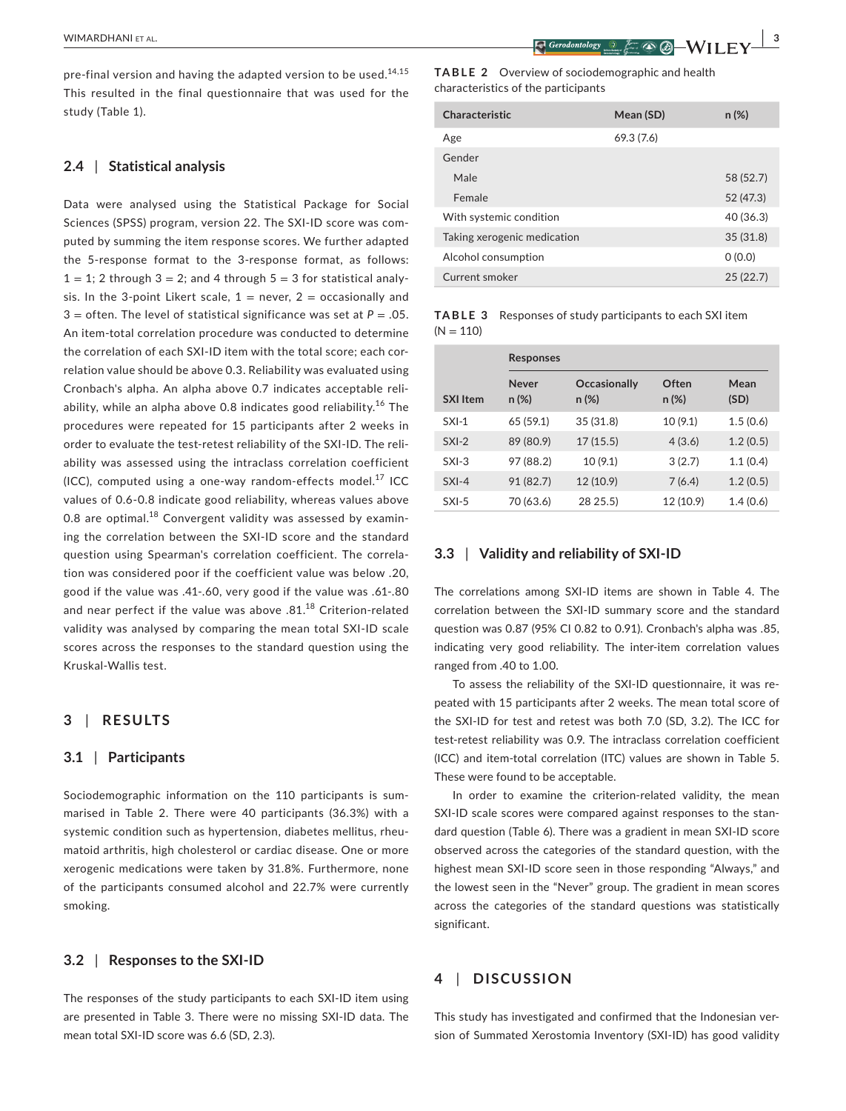pre-final version and having the adapted version to be used.<sup>14,15</sup> This resulted in the final questionnaire that was used for the study (Table 1).

## **2.4** | **Statistical analysis**

Data were analysed using the Statistical Package for Social Sciences (SPSS) program, version 22. The SXI-ID score was computed by summing the item response scores. We further adapted the 5-response format to the 3-response format, as follows:  $1 = 1$ ; 2 through  $3 = 2$ ; and 4 through  $5 = 3$  for statistical analysis. In the 3-point Likert scale,  $1 =$  never,  $2 =$  occasionally and  $3 =$  often. The level of statistical significance was set at  $P = .05$ . An item-total correlation procedure was conducted to determine the correlation of each SXI-ID item with the total score; each correlation value should be above 0.3. Reliability was evaluated using Cronbach's alpha. An alpha above 0.7 indicates acceptable reliability, while an alpha above 0.8 indicates good reliability.<sup>16</sup> The procedures were repeated for 15 participants after 2 weeks in order to evaluate the test-retest reliability of the SXI-ID. The reliability was assessed using the intraclass correlation coefficient (ICC), computed using a one-way random-effects model.<sup>17</sup> ICC values of 0.6-0.8 indicate good reliability, whereas values above 0.8 are optimal. $^{18}$  Convergent validity was assessed by examining the correlation between the SXI-ID score and the standard question using Spearman's correlation coefficient. The correlation was considered poor if the coefficient value was below .20, good if the value was .41-.60, very good if the value was .61-.80 and near perfect if the value was above .81.<sup>18</sup> Criterion-related validity was analysed by comparing the mean total SXI-ID scale scores across the responses to the standard question using the Kruskal-Wallis test.

# **3** | **RESULTS**

## **3.1** | **Participants**

Sociodemographic information on the 110 participants is summarised in Table 2. There were 40 participants (36.3%) with a systemic condition such as hypertension, diabetes mellitus, rheumatoid arthritis, high cholesterol or cardiac disease. One or more xerogenic medications were taken by 31.8%. Furthermore, none of the participants consumed alcohol and 22.7% were currently smoking.

## **3.2** | **Responses to the SXI-ID**

The responses of the study participants to each SXI-ID item using are presented in Table 3. There were no missing SXI-ID data. The mean total SXI-ID score was 6.6 (SD, 2.3).

**TABLE 2**  Overview of sociodemographic and health characteristics of the participants

| Characteristic              | Mean (SD) | $n (\%)$  |
|-----------------------------|-----------|-----------|
| Age                         | 69.3(7.6) |           |
| Gender                      |           |           |
| Male                        |           | 58 (52.7) |
| Female                      |           | 52 (47.3) |
| With systemic condition     |           | 40 (36.3) |
| Taking xerogenic medication |           | 35(31.8)  |
| Alcohol consumption         |           | 0(0.0)    |
| Current smoker              |           | 25(22.7)  |

**TABLE 3** Responses of study participants to each SXI item  $(N = 110)$ 

|                 | <b>Responses</b>  |                          |                   |              |
|-----------------|-------------------|--------------------------|-------------------|--------------|
| <b>SXI Item</b> | Never<br>$n (\%)$ | Occasionally<br>$n (\%)$ | Often<br>$n (\%)$ | Mean<br>(SD) |
| $SXI-1$         | 65 (59.1)         | 35(31.8)                 | 10(9.1)           | 1.5(0.6)     |
| $SXI-2$         | 89 (80.9)         | 17(15.5)                 | 4(3.6)            | 1.2(0.5)     |
| $SXI-3$         | 97 (88.2)         | 10(9.1)                  | 3(2.7)            | 1.1(0.4)     |
| $SXI-4$         | 91 (82.7)         | 12 (10.9)                | 7(6.4)            | 1.2(0.5)     |
| $SXI-5$         | 70 (63.6)         | 28 25.5)                 | 12 (10.9)         | 1.4(0.6)     |

## **3.3** | **Validity and reliability of SXI-ID**

The correlations among SXI-ID items are shown in Table 4. The correlation between the SXI-ID summary score and the standard question was 0.87 (95% CI 0.82 to 0.91). Cronbach's alpha was .85, indicating very good reliability. The inter-item correlation values ranged from .40 to 1.00.

To assess the reliability of the SXI-ID questionnaire, it was repeated with 15 participants after 2 weeks. The mean total score of the SXI-ID for test and retest was both 7.0 (SD, 3.2). The ICC for test-retest reliability was 0.9. The intraclass correlation coefficient (ICC) and item-total correlation (ITC) values are shown in Table 5. These were found to be acceptable.

In order to examine the criterion-related validity, the mean SXI-ID scale scores were compared against responses to the standard question (Table 6). There was a gradient in mean SXI-ID score observed across the categories of the standard question, with the highest mean SXI-ID score seen in those responding "Always," and the lowest seen in the "Never" group. The gradient in mean scores across the categories of the standard questions was statistically significant.

# **4** | **DISCUSSION**

This study has investigated and confirmed that the Indonesian version of Summated Xerostomia Inventory (SXI-ID) has good validity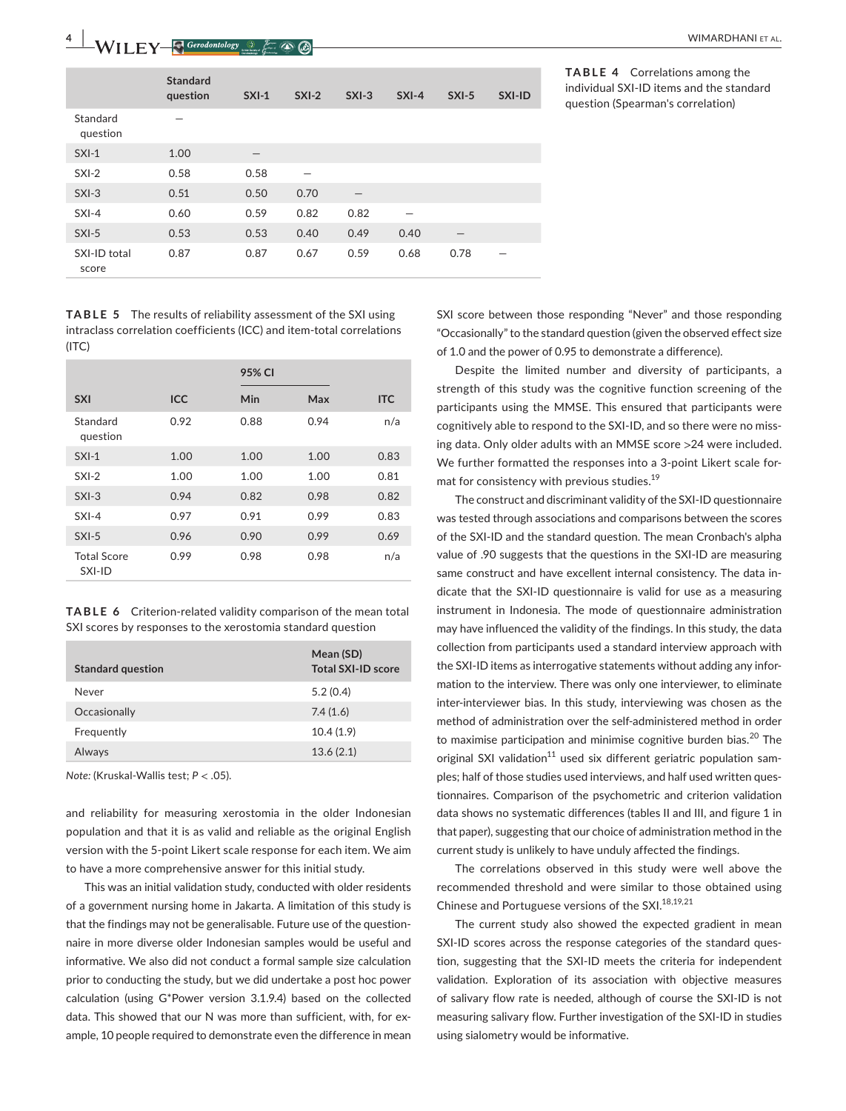|                       | <b>Standard</b><br>question | $SXI-1$ | $SXI-2$ | $SXI-3$ | $SXI-4$ | $SXI-5$           | SXI-ID |
|-----------------------|-----------------------------|---------|---------|---------|---------|-------------------|--------|
| Standard<br>question  |                             |         |         |         |         |                   |        |
| $SXI-1$               | 1.00                        |         |         |         |         |                   |        |
| $SXI-2$               | 0.58                        | 0.58    |         |         |         |                   |        |
| $SXI-3$               | 0.51                        | 0.50    | 0.70    |         |         |                   |        |
| $SXI-4$               | 0.60                        | 0.59    | 0.82    | 0.82    |         |                   |        |
| $SXI-5$               | 0.53                        | 0.53    | 0.40    | 0.49    | 0.40    | $\qquad \qquad -$ |        |
| SXI-ID total<br>score | 0.87                        | 0.87    | 0.67    | 0.59    | 0.68    | 0.78              |        |

**TABLE 5** The results of reliability assessment of the SXI using intraclass correlation coefficients (ICC) and item-total correlations  $(ITC)$ 

|                              |            | 95% CI |      |            |
|------------------------------|------------|--------|------|------------|
| <b>SXI</b>                   | <b>ICC</b> | Min    | Max  | <b>ITC</b> |
| Standard<br>question         | 0.92       | 0.88   | 0.94 | n/a        |
| $SXI-1$                      | 1.00       | 1.00   | 1.00 | 0.83       |
| $SXI-2$                      | 1.00       | 1.00   | 1.00 | 0.81       |
| $SXI-3$                      | 0.94       | 0.82   | 0.98 | 0.82       |
| $SXI-4$                      | 0.97       | 0.91   | 0.99 | 0.83       |
| $SXI-5$                      | 0.96       | 0.90   | 0.99 | 0.69       |
| <b>Total Score</b><br>SXI-ID | 0.99       | 0.98   | 0.98 | n/a        |

**TABLE 6** Criterion-related validity comparison of the mean total SXI scores by responses to the xerostomia standard question

| <b>Standard question</b> | Mean (SD)<br><b>Total SXI-ID score</b> |
|--------------------------|----------------------------------------|
| Never                    | 5.2(0.4)                               |
| Occasionally             | 7.4(1.6)                               |
| Frequently               | 10.4(1.9)                              |
| Always                   | 13.6(2.1)                              |

*Note:* (Kruskal-Wallis test; *P* < .05).

and reliability for measuring xerostomia in the older Indonesian population and that it is as valid and reliable as the original English version with the 5-point Likert scale response for each item. We aim to have a more comprehensive answer for this initial study.

This was an initial validation study, conducted with older residents of a government nursing home in Jakarta. A limitation of this study is that the findings may not be generalisable. Future use of the questionnaire in more diverse older Indonesian samples would be useful and informative. We also did not conduct a formal sample size calculation prior to conducting the study, but we did undertake a post hoc power calculation (using G\*Power version 3.1.9.4) based on the collected data. This showed that our N was more than sufficient, with, for example, 10 people required to demonstrate even the difference in mean

**TABLE 4** Correlations among the individual SXI-ID items and the standard question (Spearman's correlation)

SXI score between those responding "Never" and those responding "Occasionally" to the standard question (given the observed effect size of 1.0 and the power of 0.95 to demonstrate a difference).

Despite the limited number and diversity of participants, a strength of this study was the cognitive function screening of the participants using the MMSE. This ensured that participants were cognitively able to respond to the SXI-ID, and so there were no missing data. Only older adults with an MMSE score >24 were included. We further formatted the responses into a 3-point Likert scale format for consistency with previous studies.<sup>19</sup>

The construct and discriminant validity of the SXI-ID questionnaire was tested through associations and comparisons between the scores of the SXI-ID and the standard question. The mean Cronbach's alpha value of .90 suggests that the questions in the SXI-ID are measuring same construct and have excellent internal consistency. The data indicate that the SXI-ID questionnaire is valid for use as a measuring instrument in Indonesia. The mode of questionnaire administration may have influenced the validity of the findings. In this study, the data collection from participants used a standard interview approach with the SXI-ID items as interrogative statements without adding any information to the interview. There was only one interviewer, to eliminate inter-interviewer bias. In this study, interviewing was chosen as the method of administration over the self-administered method in order to maximise participation and minimise cognitive burden bias.<sup>20</sup> The original SXI validation<sup>11</sup> used six different geriatric population samples; half of those studies used interviews, and half used written questionnaires. Comparison of the psychometric and criterion validation data shows no systematic differences (tables II and III, and figure 1 in that paper), suggesting that our choice of administration method in the current study is unlikely to have unduly affected the findings.

The correlations observed in this study were well above the recommended threshold and were similar to those obtained using Chinese and Portuguese versions of the SXI.<sup>18,19,21</sup>

The current study also showed the expected gradient in mean SXI-ID scores across the response categories of the standard question, suggesting that the SXI-ID meets the criteria for independent validation. Exploration of its association with objective measures of salivary flow rate is needed, although of course the SXI-ID is not measuring salivary flow. Further investigation of the SXI-ID in studies using sialometry would be informative.